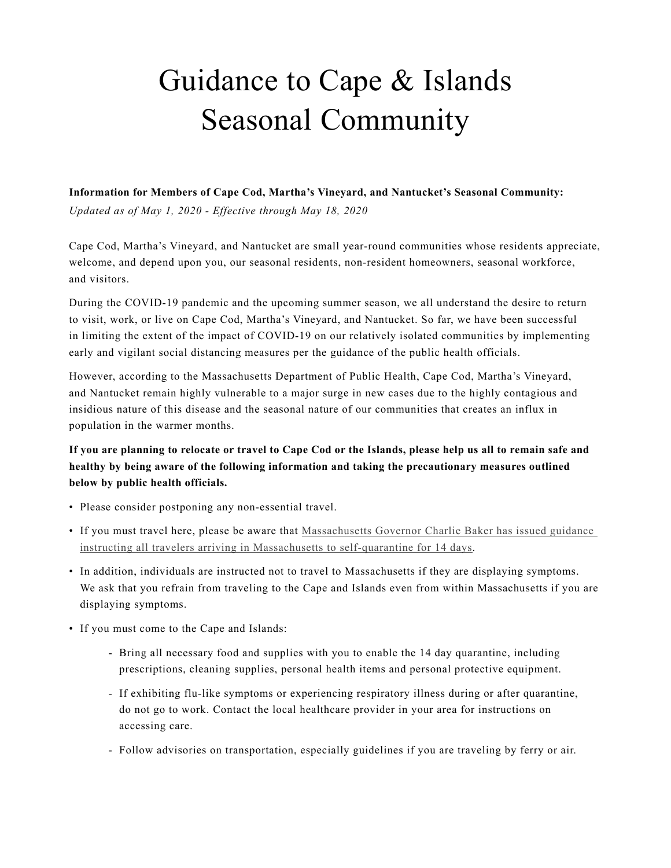## Guidance to Cape & Islands Seasonal Community

## **Information for Members of Cape Cod, Martha's Vineyard, and Nantucket's Seasonal Community:**

*Updated as of May 1, 2020 - Effective through May 18, 2020*

Cape Cod, Martha's Vineyard, and Nantucket are small year-round communities whose residents appreciate, welcome, and depend upon you, our seasonal residents, non-resident homeowners, seasonal workforce, and visitors.

During the COVID-19 pandemic and the upcoming summer season, we all understand the desire to return to visit, work, or live on Cape Cod, Martha's Vineyard, and Nantucket. So far, we have been successful in limiting the extent of the impact of COVID-19 on our relatively isolated communities by implementing early and vigilant social distancing measures per the guidance of the public health officials.

However, according to the Massachusetts Department of Public Health, Cape Cod, Martha's Vineyard, and Nantucket remain highly vulnerable to a major surge in new cases due to the highly contagious and insidious nature of this disease and the seasonal nature of our communities that creates an influx in population in the warmer months.

## **If you are planning to relocate or travel to Cape Cod or the Islands, please help us all to remain safe and healthy by being aware of the following information and taking the precautionary measures outlined below by public health officials.**

- Please consider postponing any non-essential travel.
- If you must travel here, please be aware that [Massachusetts Governor Charlie Baker has issued guidance](https://www.mass.gov/news/baker-polito-administration-announces-travel-guidelines-and-new-health-care-resources-to)  [instructing all travelers arriving in Massachusetts to self-quarantine for 14 days](https://www.mass.gov/news/baker-polito-administration-announces-travel-guidelines-and-new-health-care-resources-to).
- In addition, individuals are instructed not to travel to Massachusetts if they are displaying symptoms. We ask that you refrain from traveling to the Cape and Islands even from within Massachusetts if you are displaying symptoms.
- If you must come to the Cape and Islands:
	- Bring all necessary food and supplies with you to enable the 14 day quarantine, including prescriptions, cleaning supplies, personal health items and personal protective equipment.
	- If exhibiting flu-like symptoms or experiencing respiratory illness during or after quarantine, do not go to work. Contact the local healthcare provider in your area for instructions on accessing care.
	- Follow advisories on transportation, especially guidelines if you are traveling by ferry or air.